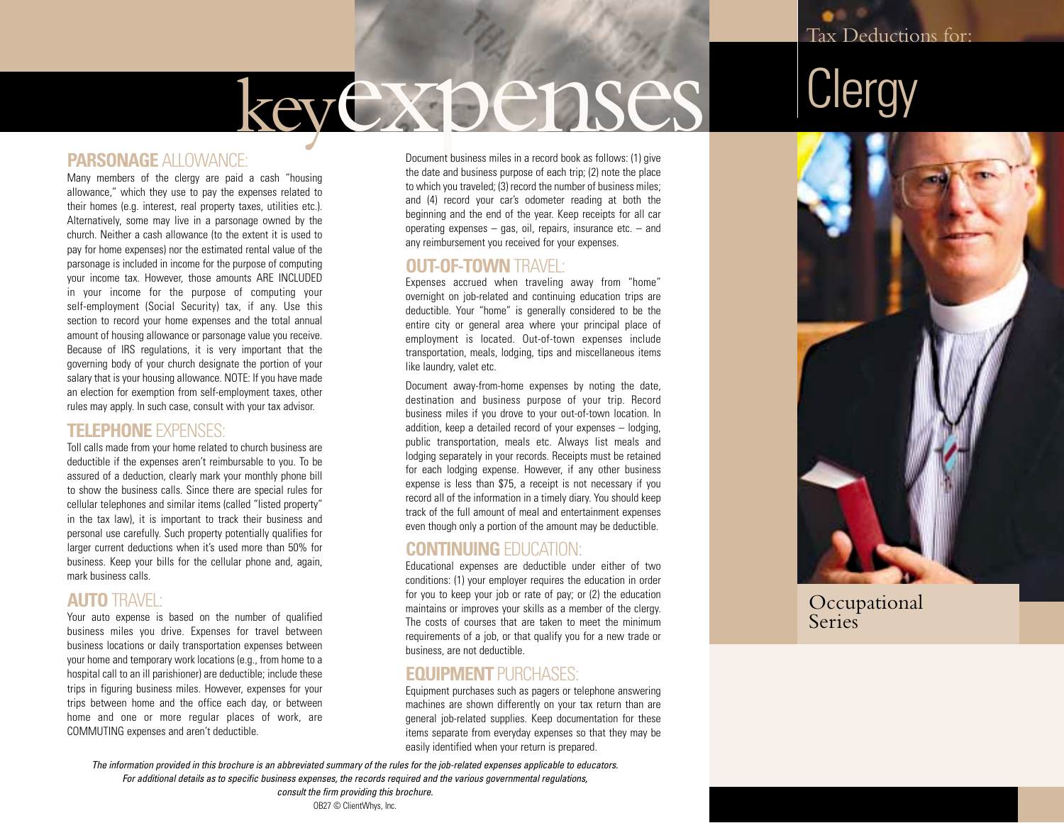# keyexpenses

## **PARSONAGE** ALLOWANCE:

Many members of the clergy are paid a cash "housing allowance," which they use to pay the expenses related to their homes (e.g. interest, real property taxes, utilities etc.). Alternatively, some may live in a parsonage owned by the church. Neither a cash allowance (to the extent it is used to pay for home expenses) nor the estimated rental value of the parsonage is included in income for the purpose of computing your income tax. However, those amounts ARE INCLUDED in your income for the purpose of computing your self-employment (Social Security) tax, if any. Use this section to record your home expenses and the total annual amount of housing allowance or parsonage value you receive. Because of IRS regulations, it is very important that the governing body of your church designate the portion of your salary that is your housing allowance. NOTE: If you have made an election for exemption from self-employment taxes, other rules may apply. In such case, consult with your tax advisor.

## **TELEPHONE** EXPENSES:

Toll calls made from your home related to church business are deductible if the expenses aren't reimbursable to you. To be assured of a deduction, clearly mark your monthly phone bill to show the business calls. Since there are special rules for cellular telephones and similar items (called "listed property" in the tax law), it is important to track their business and personal use carefully. Such property potentially qualifies for larger current deductions when it's used more than 50% for business. Keep your bills for the cellular phone and, again, mark business calls.

## **AUTO** TRAVEL:

Your auto expense is based on the number of qualified business miles you drive. Expenses for travel between business locations or daily transportation expenses between your home and temporary work locations (e.g., from home to a hospital call to an ill parishioner) are deductible; include these trips in figuring business miles. However, expenses for your trips between home and the office each day, or between home and one or more regular places of work, are COMMUTING expenses and aren't deductible.

Document business miles in a record book as follows: (1) give the date and business purpose of each trip; (2) note the place to which you traveled; (3) record the number of business miles; and (4) record your car's odometer reading at both the beginning and the end of the year. Keep receipts for all car operating expenses – gas, oil, repairs, insurance etc. – and any reimbursement you received for your expenses.

#### **OUT-OF-TOWN** TRAVEL:

Expenses accrued when traveling away from "home" overnight on job-related and continuing education trips are deductible. Your "home" is generally considered to be the entire city or general area where your principal place of employment is located. Out-of-town expenses include transportation, meals, lodging, tips and miscellaneous items like laundry, valet etc.

Document away-from-home expenses by noting the date, destination and business purpose of your trip. Record business miles if you drove to your out-of-town location. In addition, keep a detailed record of your expenses – lodging, public transportation, meals etc. Always list meals and lodging separately in your records. Receipts must be retained for each lodging expense. However, if any other business expense is less than \$75, a receipt is not necessary if you record all of the information in a timely diary. You should keep track of the full amount of meal and entertainment expenses even though only a portion of the amount may be deductible.

### **CONTINUING** EDUCATION:

Educational expenses are deductible under either of two conditions: (1) your employer requires the education in order for you to keep your job or rate of pay; or (2) the education maintains or improves your skills as a member of the clergy. The costs of courses that are taken to meet the minimum requirements of a job, or that qualify you for a new trade or business, are not deductible.

## **EQUIPMENT** PURCHASES:

Equipment purchases such as pagers or telephone answering machines are shown differently on your tax return than are general job-related supplies. Keep documentation for these items separate from everyday expenses so that they may be easily identified when your return is prepared.

*The information provided in this brochure is an abbreviated summary of the rules for the job-related expenses applicable to educators. For additional details as to specific business expenses, the records required and the various governmental regulations,* 







Occupational **Series**